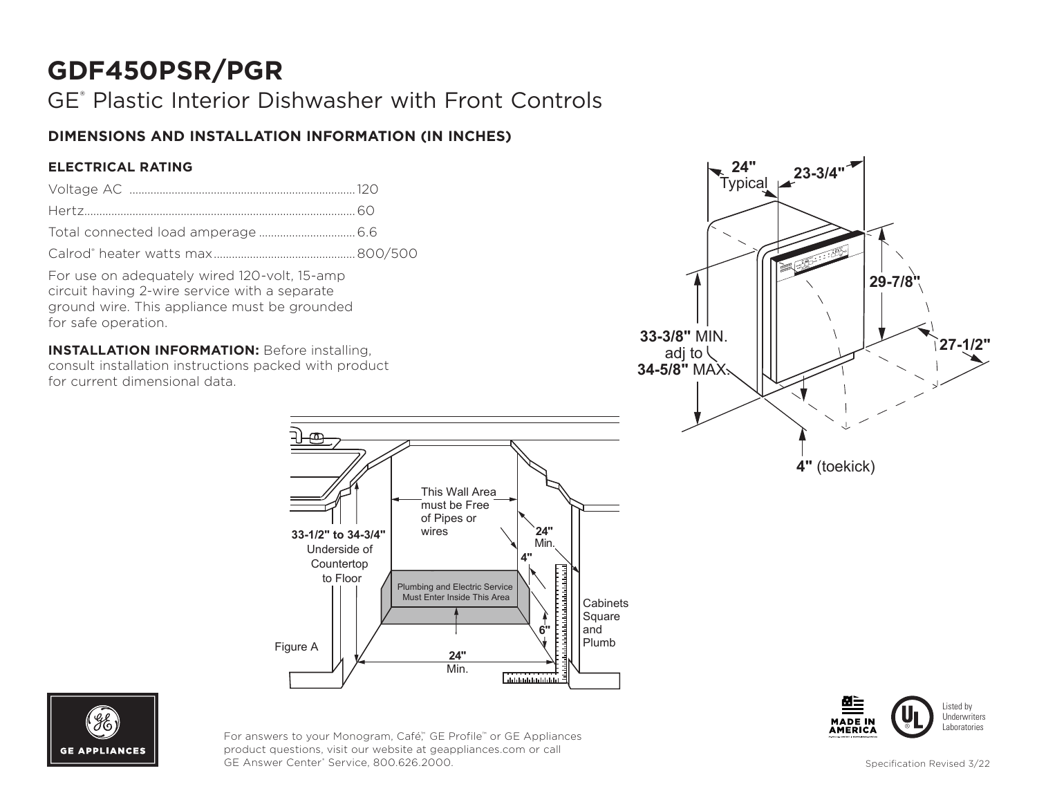# **GDF450PSR/PGR**

## GE® Plastic Interior Dishwasher with Front Controls

### **DIMENSIONS AND INSTALLATION INFORMATION (IN INCHES)**

#### **ELECTRICAL RATING**

For use on adequately wired 120-volt, 15-amp circuit having 2-wire service with a separate ground wire. This appliance must be grounded for safe operation.

**INSTALLATION INFORMATION:** Before installing, consult installation instructions packed with product for current dimensional data.









For answers to your Monogram, Café," GE Profile™ or GE Appliances product questions, visit our website at geappliances.com or call GE Answer Center® Service, 800.626.2000.

Specification Revised 3/22